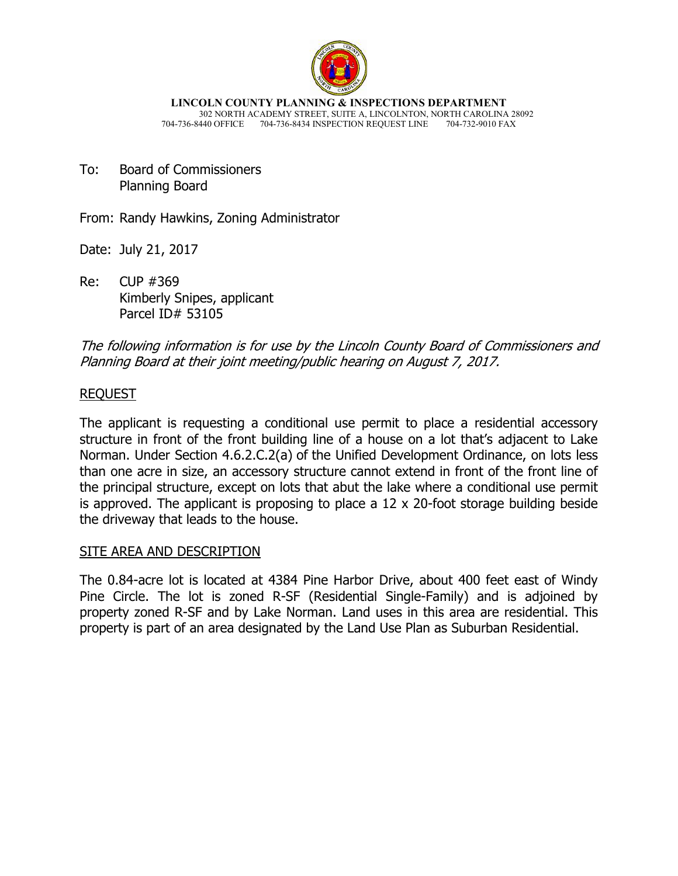

**LINCOLN COUNTY PLANNING & INSPECTIONS DEPARTMENT** 302 NORTH ACADEMY STREET, SUITE A, LINCOLNTON, NORTH CAROLINA 28092 704-736-8440 OFFICE 704-736-8434 INSPECTION REQUEST LINE

To: Board of Commissioners Planning Board

From: Randy Hawkins, Zoning Administrator

Date: July 21, 2017

Re: CUP #369 Kimberly Snipes, applicant Parcel ID# 53105

The following information is for use by the Lincoln County Board of Commissioners and Planning Board at their joint meeting/public hearing on August 7, 2017.

### REQUEST

The applicant is requesting a conditional use permit to place a residential accessory structure in front of the front building line of a house on a lot that's adjacent to Lake Norman. Under Section 4.6.2.C.2(a) of the Unified Development Ordinance, on lots less than one acre in size, an accessory structure cannot extend in front of the front line of the principal structure, except on lots that abut the lake where a conditional use permit is approved. The applicant is proposing to place a 12 x 20-foot storage building beside the driveway that leads to the house.

#### SITE AREA AND DESCRIPTION

The 0.84-acre lot is located at 4384 Pine Harbor Drive, about 400 feet east of Windy Pine Circle. The lot is zoned R-SF (Residential Single-Family) and is adjoined by property zoned R-SF and by Lake Norman. Land uses in this area are residential. This property is part of an area designated by the Land Use Plan as Suburban Residential.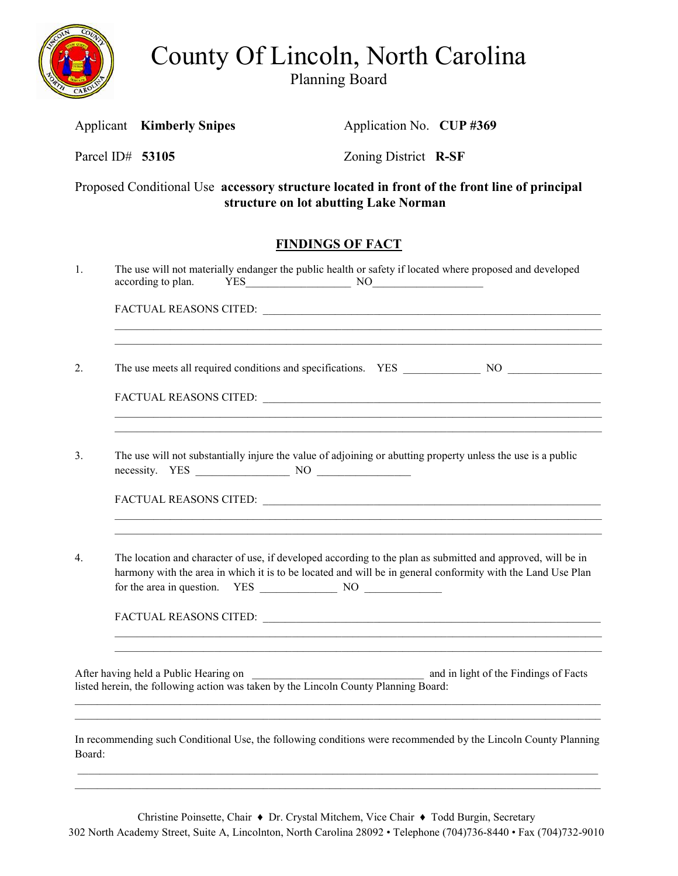

County Of Lincoln, North Carolina

Planning Board

Applicant **Kimberly Snipes Application No. <b>CUP #369** 

| Proposed Conditional Use accessory structure located in front of the front line of principal<br>structure on lot abutting Lake Norman |                                                                                                                                                                                                                                                                                           |                                       |                                                                                                                                                                             |                                       |  |  |  |
|---------------------------------------------------------------------------------------------------------------------------------------|-------------------------------------------------------------------------------------------------------------------------------------------------------------------------------------------------------------------------------------------------------------------------------------------|---------------------------------------|-----------------------------------------------------------------------------------------------------------------------------------------------------------------------------|---------------------------------------|--|--|--|
|                                                                                                                                       |                                                                                                                                                                                                                                                                                           |                                       | <b>FINDINGS OF FACT</b>                                                                                                                                                     |                                       |  |  |  |
| 1.                                                                                                                                    |                                                                                                                                                                                                                                                                                           | according to plan.                    | The use will not materially endanger the public health or safety if located where proposed and developed<br>$YES$ NO $NOS$                                                  |                                       |  |  |  |
|                                                                                                                                       |                                                                                                                                                                                                                                                                                           |                                       |                                                                                                                                                                             |                                       |  |  |  |
| 2.                                                                                                                                    |                                                                                                                                                                                                                                                                                           |                                       |                                                                                                                                                                             |                                       |  |  |  |
|                                                                                                                                       |                                                                                                                                                                                                                                                                                           |                                       |                                                                                                                                                                             |                                       |  |  |  |
| 3.                                                                                                                                    |                                                                                                                                                                                                                                                                                           |                                       | <u> 1989 - Johann Stoff, amerikansk politiker (d. 1989)</u><br>The use will not substantially injure the value of adjoining or abutting property unless the use is a public |                                       |  |  |  |
| 4.                                                                                                                                    | <u> 1989 - Johann Stoff, amerikansk politiker (d. 1989)</u><br>The location and character of use, if developed according to the plan as submitted and approved, will be in<br>harmony with the area in which it is to be located and will be in general conformity with the Land Use Plan |                                       |                                                                                                                                                                             |                                       |  |  |  |
|                                                                                                                                       |                                                                                                                                                                                                                                                                                           | After having held a Public Hearing on | After having held a Public Hearing on<br>listed herein, the following action was taken by the Lincoln County Planning Board:                                                | and in light of the Findings of Facts |  |  |  |
| Board:                                                                                                                                |                                                                                                                                                                                                                                                                                           |                                       | In recommending such Conditional Use, the following conditions were recommended by the Lincoln County Planning                                                              |                                       |  |  |  |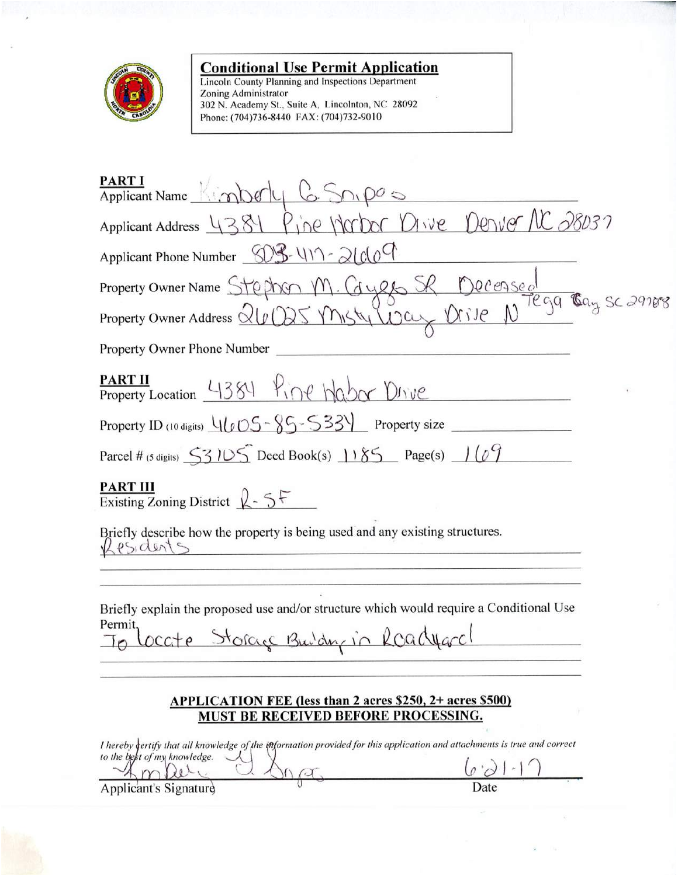

**Conditional Use Permit Application**<br>Lincoln County Planning and Inspections Department<br>Zoning Administrator<br>302 N. Academy St., Suite A, Lincolnton, NC 28092<br>Phone: (704)736-8440 FAX: (704)732-9010

| PART I<br>Applicant Name Kimberly 6. Son pos                                                                                                             |
|----------------------------------------------------------------------------------------------------------------------------------------------------------|
|                                                                                                                                                          |
| Applicant Address 4381 Pine Morbor Dive Denver NC 28037                                                                                                  |
| Applicant Phone Number $\mathcal{D} \mathcal{L} \setminus \{11\}$ - 2/00                                                                                 |
|                                                                                                                                                          |
| Property Owner Name Stephen M. Gyes SR Decensed<br>Property Owner Address QUODS Misty Way Drive N <sup>Tega</sup> Cay Sc 29788                           |
| Property Owner Phone Number                                                                                                                              |
| PART II Property Location 4384 Pine Wabor Dirve                                                                                                          |
| Property ID (10 digits) $\frac{1}{\ell}(\ell \text{OS} - 85 - 53)$ Property size                                                                         |
| Parcel # (5 digits) $\frac{53105}{2}$ Deed Book(s) $\frac{1185}{2}$ Page(s) $\frac{109}{2}$                                                              |
| <b>PART III</b><br>Existing Zoning District $2 - 5$                                                                                                      |
| Briefly describe how the property is being used and any existing structures.<br>esidents                                                                 |
|                                                                                                                                                          |
| Briefly explain the proposed use and/or structure which would require a Conditional Use                                                                  |
| Permit,<br>te Storage Building in Roadward                                                                                                               |
|                                                                                                                                                          |
| APPLICATION FEE (less than 2 acres \$250, 2+ acres \$500)                                                                                                |
| MUST BE RECEIVED BEFORE PROCESSING.                                                                                                                      |
| I hereby certify that all knowledge of the information provided for this application and attachments is true and correct<br>to the best of my knowledge. |
|                                                                                                                                                          |
| Date<br>Applicant's Signature                                                                                                                            |

ò.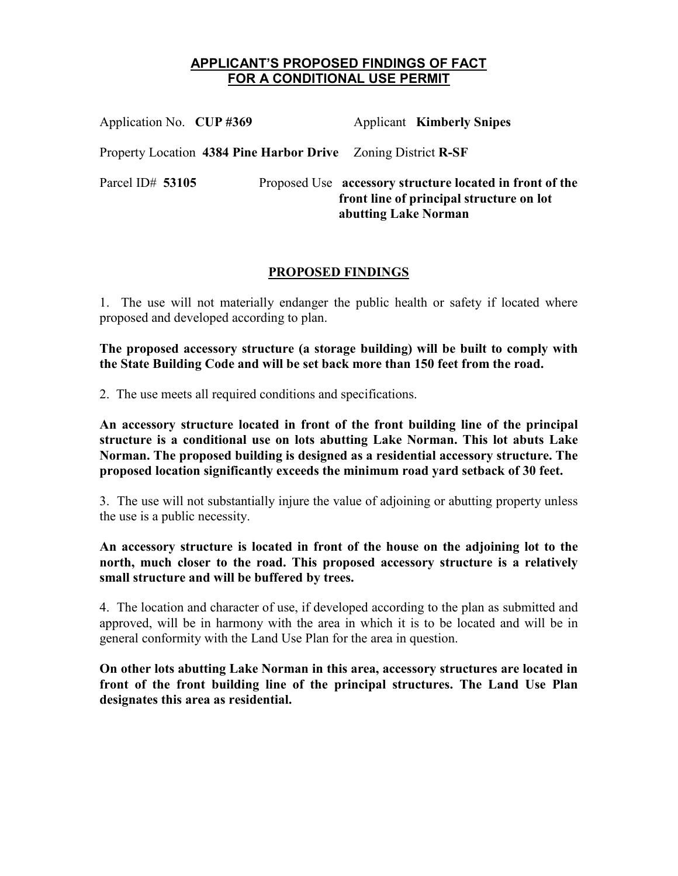#### **APPLICANT'S PROPOSED FINDINGS OF FACT FOR A CONDITIONAL USE PERMIT**

| Application No. CUP #369                                      |  |                                                                                                                              | <b>Applicant Kimberly Snipes</b> |
|---------------------------------------------------------------|--|------------------------------------------------------------------------------------------------------------------------------|----------------------------------|
| Property Location 4384 Pine Harbor Drive Zoning District R-SF |  |                                                                                                                              |                                  |
| Parcel ID# $53105$                                            |  | Proposed Use accessory structure located in front of the<br>front line of principal structure on lot<br>abutting Lake Norman |                                  |

#### **PROPOSED FINDINGS**

1. The use will not materially endanger the public health or safety if located where proposed and developed according to plan.

**The proposed accessory structure (a storage building) will be built to comply with the State Building Code and will be set back more than 150 feet from the road.** 

2. The use meets all required conditions and specifications.

**An accessory structure located in front of the front building line of the principal structure is a conditional use on lots abutting Lake Norman. This lot abuts Lake Norman. The proposed building is designed as a residential accessory structure. The proposed location significantly exceeds the minimum road yard setback of 30 feet.**

3. The use will not substantially injure the value of adjoining or abutting property unless the use is a public necessity.

**An accessory structure is located in front of the house on the adjoining lot to the north, much closer to the road. This proposed accessory structure is a relatively small structure and will be buffered by trees.** 

4. The location and character of use, if developed according to the plan as submitted and approved, will be in harmony with the area in which it is to be located and will be in general conformity with the Land Use Plan for the area in question.

**On other lots abutting Lake Norman in this area, accessory structures are located in front of the front building line of the principal structures. The Land Use Plan designates this area as residential.**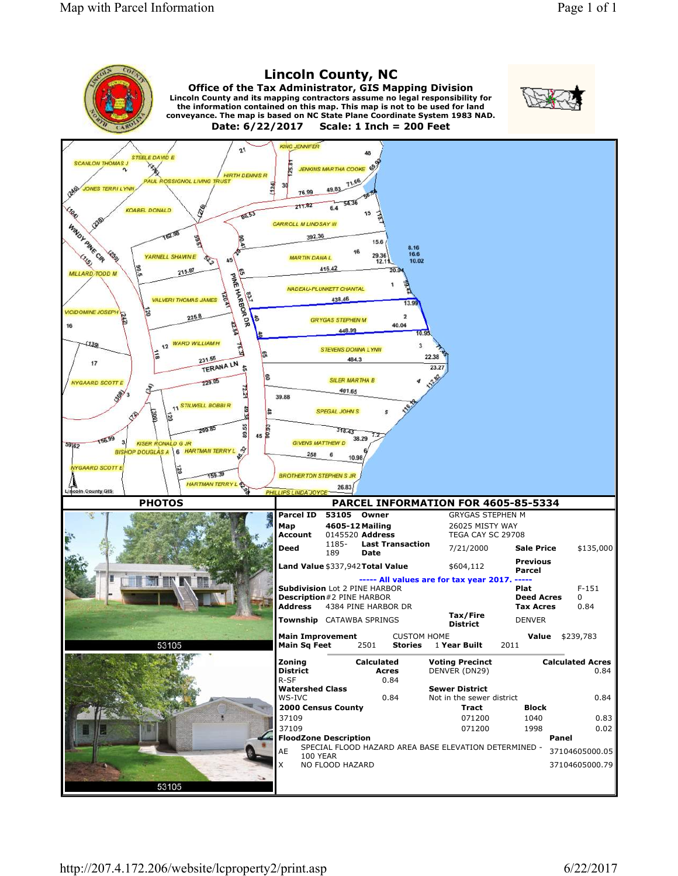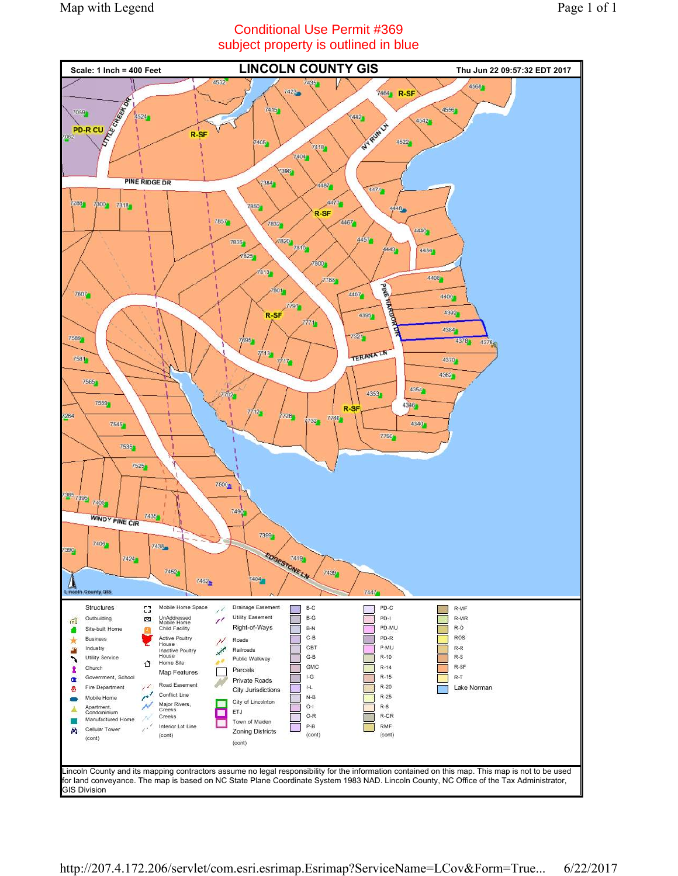## Conditional Use Permit #369 subject property is outlined in blue